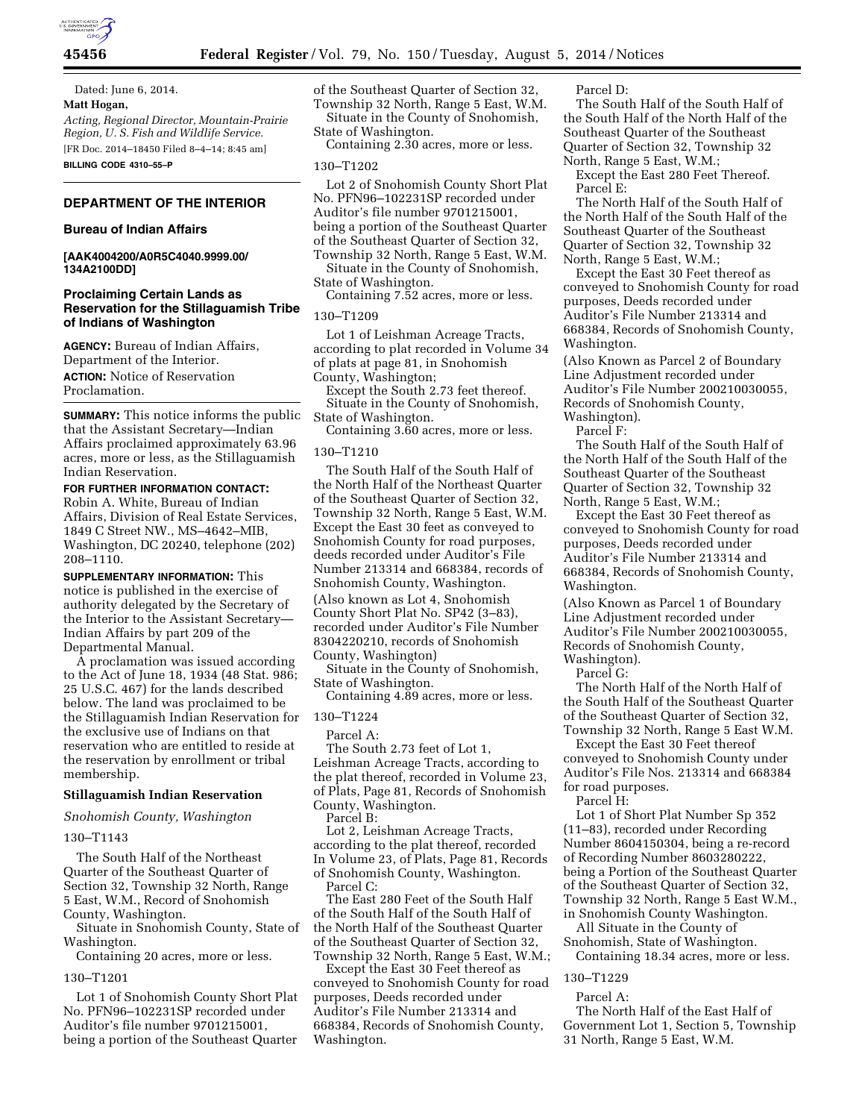

**45456 Federal Register** / Vol. 79, No. 150 / Tuesday, August 5, 2014 / Notices

Dated: June 6, 2014. **Matt Hogan,**  *Acting, Regional Director, Mountain-Prairie Region, U. S. Fish and Wildlife Service.*  [FR Doc. 2014–18450 Filed 8–4–14; 8:45 am] **BILLING CODE 4310–55–P** 

## **DEPARTMENT OF THE INTERIOR**

#### **Bureau of Indian Affairs**

### **[AAK4004200/A0R5C4040.9999.00/ 134A2100DD]**

## **Proclaiming Certain Lands as Reservation for the Stillaguamish Tribe of Indians of Washington**

**AGENCY:** Bureau of Indian Affairs, Department of the Interior. **ACTION:** Notice of Reservation Proclamation.

**SUMMARY:** This notice informs the public that the Assistant Secretary—Indian Affairs proclaimed approximately 63.96 acres, more or less, as the Stillaguamish Indian Reservation.

**FOR FURTHER INFORMATION CONTACT:**  Robin A. White, Bureau of Indian Affairs, Division of Real Estate Services, 1849 C Street NW., MS–4642–MIB, Washington, DC 20240, telephone (202) 208–1110.

**SUPPLEMENTARY INFORMATION:** This notice is published in the exercise of authority delegated by the Secretary of the Interior to the Assistant Secretary— Indian Affairs by part 209 of the Departmental Manual.

A proclamation was issued according to the Act of June 18, 1934 (48 Stat. 986; 25 U.S.C. 467) for the lands described below. The land was proclaimed to be the Stillaguamish Indian Reservation for the exclusive use of Indians on that reservation who are entitled to reside at the reservation by enrollment or tribal membership.

#### **Stillaguamish Indian Reservation**

*Snohomish County, Washington* 

130–T1143

The South Half of the Northeast Quarter of the Southeast Quarter of Section 32, Township 32 North, Range 5 East, W.M., Record of Snohomish County, Washington.

Situate in Snohomish County, State of Washington.

Containing 20 acres, more or less.

#### 130–T1201

Lot 1 of Snohomish County Short Plat No. PFN96–102231SP recorded under Auditor's file number 9701215001, being a portion of the Southeast Quarter

of the Southeast Quarter of Section 32, Township 32 North, Range 5 East, W.M. Situate in the County of Snohomish, State of Washington.

Containing 2.30 acres, more or less.

### 130–T1202

Lot 2 of Snohomish County Short Plat No. PFN96–102231SP recorded under Auditor's file number 9701215001, being a portion of the Southeast Quarter of the Southeast Quarter of Section 32, Township 32 North, Range 5 East, W.M.

Situate in the County of Snohomish, State of Washington.

Containing 7.52 acres, more or less.

## 130–T1209

Lot 1 of Leishman Acreage Tracts, according to plat recorded in Volume 34 of plats at page 81, in Snohomish County, Washington;

Except the South 2.73 feet thereof. Situate in the County of Snohomish, State of Washington.

Containing 3.60 acres, more or less.

#### 130–T1210

The South Half of the South Half of the North Half of the Northeast Quarter of the Southeast Quarter of Section 32, Township 32 North, Range 5 East, W.M. Except the East 30 feet as conveyed to Snohomish County for road purposes, deeds recorded under Auditor's File Number 213314 and 668384, records of Snohomish County, Washington. (Also known as Lot 4, Snohomish County Short Plat No. SP42 (3–83), recorded under Auditor's File Number 8304220210, records of Snohomish County, Washington)

Situate in the County of Snohomish, State of Washington.

Containing 4.89 acres, more or less.

130–T1224

Parcel A:

The South 2.73 feet of Lot 1, Leishman Acreage Tracts, according to the plat thereof, recorded in Volume 23, of Plats, Page 81, Records of Snohomish County, Washington.

Parcel B:

Lot 2, Leishman Acreage Tracts, according to the plat thereof, recorded In Volume 23, of Plats, Page 81, Records of Snohomish County, Washington. Parcel C:

The East 280 Feet of the South Half of the South Half of the South Half of the North Half of the Southeast Quarter of the Southeast Quarter of Section 32, Township 32 North, Range 5 East, W.M.;

Except the East 30 Feet thereof as conveyed to Snohomish County for road purposes, Deeds recorded under Auditor's File Number 213314 and 668384, Records of Snohomish County, Washington.

Parcel D:

The South Half of the South Half of the South Half of the North Half of the Southeast Quarter of the Southeast Quarter of Section 32, Township 32 North, Range 5 East, W.M.;

Except the East 280 Feet Thereof. Parcel E:

The North Half of the South Half of the North Half of the South Half of the Southeast Quarter of the Southeast Quarter of Section 32, Township 32 North, Range 5 East, W.M.;

Except the East 30 Feet thereof as conveyed to Snohomish County for road purposes, Deeds recorded under Auditor's File Number 213314 and 668384, Records of Snohomish County, Washington.

(Also Known as Parcel 2 of Boundary Line Adjustment recorded under Auditor's File Number 200210030055, Records of Snohomish County, Washington).

Parcel F:

The South Half of the South Half of the North Half of the South Half of the Southeast Quarter of the Southeast Quarter of Section 32, Township 32 North, Range 5 East, W.M.;

Except the East 30 Feet thereof as conveyed to Snohomish County for road purposes, Deeds recorded under Auditor's File Number 213314 and 668384, Records of Snohomish County, Washington.

(Also Known as Parcel 1 of Boundary Line Adjustment recorded under Auditor's File Number 200210030055, Records of Snohomish County, Washington).

Parcel G:

The North Half of the North Half of the South Half of the Southeast Quarter of the Southeast Quarter of Section 32, Township 32 North, Range 5 East W.M.

Except the East 30 Feet thereof conveyed to Snohomish County under Auditor's File Nos. 213314 and 668384 for road purposes.

Parcel H:

Lot 1 of Short Plat Number Sp 352 (11–83), recorded under Recording Number 8604150304, being a re-record of Recording Number 8603280222, being a Portion of the Southeast Quarter of the Southeast Quarter of Section 32, Township 32 North, Range 5 East W.M., in Snohomish County Washington.

All Situate in the County of Snohomish, State of Washington.

Containing 18.34 acres, more or less.

# 130–T1229

Parcel A: The North Half of the East Half of Government Lot 1, Section 5, Township 31 North, Range 5 East, W.M.